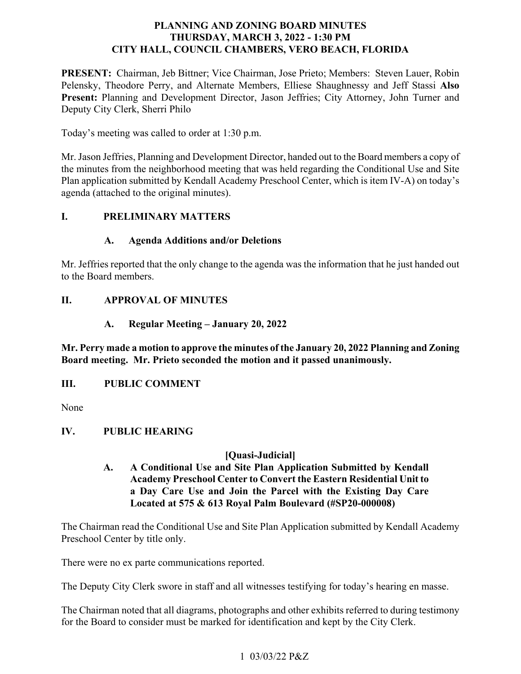# **PLANNING AND ZONING BOARD MINUTES THURSDAY, MARCH 3, 2022 - 1:30 PM CITY HALL, COUNCIL CHAMBERS, VERO BEACH, FLORIDA**

PRESENT: Chairman, Jeb Bittner; Vice Chairman, Jose Prieto; Members: Steven Lauer, Robin Pelensky, Theodore Perry, and Alternate Members, Elliese Shaughnessy and Jeff Stassi **Also**  Present: Planning and Development Director, Jason Jeffries; City Attorney, John Turner and Deputy City Clerk, Sherri Philo

Today's meeting was called to order at 1:30 p.m.

 the minutes from the neighborhood meeting that was held regarding the Conditional Use and Site Mr. Jason Jeffries, Planning and Development Director, handed out to the Board members a copy of Plan application submitted by Kendall Academy Preschool Center, which is item IV-A) on today's agenda (attached to the original minutes).

#### *<u>I*.</u> **I. PRELIMINARY MATTERS**

# **A. Agenda Additions and/or Deletions**

Mr. Jeffries reported that the only change to the agenda was the information that he just handed out to the Board members.

# **II. APPROVAL OF MINUTES**

**A. Regular Meeting – January 20, 2022** 

 **Mr. Perry made a motion to approve the minutes of the January 20, 2022 Planning and Zoning Board meeting. Mr. Prieto seconded the motion and it passed unanimously.** 

#### *III.* **III. PUBLIC COMMENT**

None

### **IV. PUBLIC HEARING**

## **[Quasi-Judicial]**

 **a Day Care Use and Join the Parcel with the Existing Day Care A. A Conditional Use and Site Plan Application Submitted by Kendall Academy Preschool Center to Convert the Eastern Residential Unit to Located at 575 & 613 Royal Palm Boulevard (#SP20-000008)** 

The Chairman read the Conditional Use and Site Plan Application submitted by Kendall Academy Preschool Center by title only.

There were no ex parte communications reported.

The Deputy City Clerk swore in staff and all witnesses testifying for today's hearing en masse.

The Chairman noted that all diagrams, photographs and other exhibits referred to during testimony for the Board to consider must be marked for identification and kept by the City Clerk.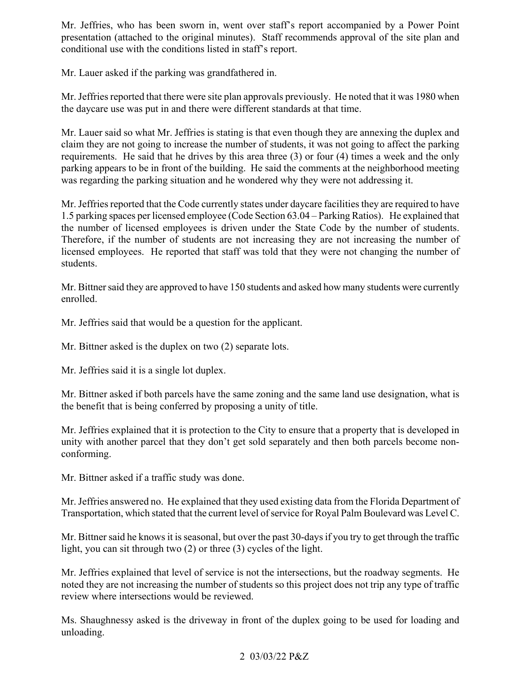presentation (attached to the original minutes). Staff recommends approval of the site plan and Mr. Jeffries, who has been sworn in, went over staff's report accompanied by a Power Point conditional use with the conditions listed in staff's report.

Mr. Lauer asked if the parking was grandfathered in.

 Mr. Jeffries reported that there were site plan approvals previously. He noted that it was 1980 when the daycare use was put in and there were different standards at that time.

 requirements. He said that he drives by this area three (3) or four (4) times a week and the only was regarding the parking situation and he wondered why they were not addressing it. Mr. Lauer said so what Mr. Jeffries is stating is that even though they are annexing the duplex and claim they are not going to increase the number of students, it was not going to affect the parking parking appears to be in front of the building. He said the comments at the neighborhood meeting

 the number of licensed employees is driven under the State Code by the number of students. Therefore, if the number of students are not increasing they are not increasing the number of licensed employees. He reported that staff was told that they were not changing the number of Mr. Jeffries reported that the Code currently states under daycare facilities they are required to have 1.5 parking spaces per licensed employee (Code Section 63.04 – Parking Ratios). He explained that students.

 Mr. Bittner said they are approved to have 150 students and asked how many students were currently enrolled.

Mr. Jeffries said that would be a question for the applicant.

Mr. Bittner asked is the duplex on two (2) separate lots.

Mr. Jeffries said it is a single lot duplex.

 the benefit that is being conferred by proposing a unity of title. Mr. Bittner asked if both parcels have the same zoning and the same land use designation, what is

 Mr. Jeffries explained that it is protection to the City to ensure that a property that is developed in unity with another parcel that they don't get sold separately and then both parcels become nonconforming.

Mr. Bittner asked if a traffic study was done.

 Mr. Jeffries answered no. He explained that they used existing data from the Florida Department of Transportation, which stated that the current level of service for Royal Palm Boulevard was Level C.

 light, you can sit through two (2) or three (3) cycles of the light. Mr. Bittner said he knows it is seasonal, but over the past 30-days if you try to get through the traffic

 Mr. Jeffries explained that level of service is not the intersections, but the roadway segments. He noted they are not increasing the number of students so this project does not trip any type of traffic review where intersections would be reviewed.

 Ms. Shaughnessy asked is the driveway in front of the duplex going to be used for loading and unloading.

## 2 03/03/22 P&Z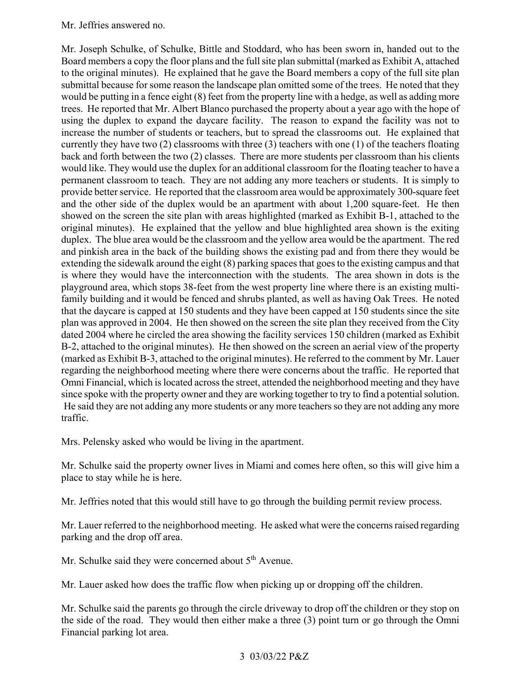### Mr. Jeffries answered no.

 Board members a copy the floor plans and the full site plan submittal (marked as Exhibit A, attached to the original minutes). He explained that he gave the Board members a copy of the full site plan submittal because for some reason the landscape plan omitted some of the trees. He noted that they using the duplex to expand the daycare facility. The reason to expand the facility was not to increase the number of students or teachers, but to spread the classrooms out. He explained that currently they have two (2) classrooms with three (3) teachers with one (1) of the teachers floating would like. They would use the duplex for an additional classroom for the floating teacher to have a permanent classroom to teach. They are not adding any more teachers or students. It is simply to provide better service. He reported that the classroom area would be approximately 300-square feet and the other side of the duplex would be an apartment with about 1,200 square-feet. He then original minutes). He explained that the yellow and blue highlighted area shown is the exiting duplex. The blue area would be the classroom and the yellow area would be the apartment. The red and pinkish area in the back of the building shows the existing pad and from there they would be extending the sidewalk around the eight (8) parking spaces that goes to the existing campus and that is where they would have the interconnection with the students. The area shown in dots is the plan was approved in 2004. He then showed on the screen the site plan they received from the City B-2, attached to the original minutes). He then showed on the screen an aerial view of the property regarding the neighborhood meeting where there were concerns about the traffic. He reported that Omni Financial, which is located across the street, attended the neighborhood meeting and they have since spoke with the property owner and they are working together to try to find a potential solution. Mr. Joseph Schulke, of Schulke, Bittle and Stoddard, who has been sworn in, handed out to the would be putting in a fence eight (8) feet from the property line with a hedge, as well as adding more trees. He reported that Mr. Albert Blanco purchased the property about a year ago with the hope of back and forth between the two (2) classes. There are more students per classroom than his clients showed on the screen the site plan with areas highlighted (marked as Exhibit B-1, attached to the playground area, which stops 38-feet from the west property line where there is an existing multifamily building and it would be fenced and shrubs planted, as well as having Oak Trees. He noted that the daycare is capped at 150 students and they have been capped at 150 students since the site dated 2004 where he circled the area showing the facility services 150 children (marked as Exhibit (marked as Exhibit B-3, attached to the original minutes). He referred to the comment by Mr. Lauer He said they are not adding any more students or any more teachers so they are not adding any more traffic.

Mrs. Pelensky asked who would be living in the apartment.

 Mr. Schulke said the property owner lives in Miami and comes here often, so this will give him a place to stay while he is here.

Mr. Jeffries noted that this would still have to go through the building permit review process.

 Mr. Lauer referred to the neighborhood meeting. He asked what were the concerns raised regarding parking and the drop off area.

Mr. Schulke said they were concerned about 5<sup>th</sup> Avenue.

Mr. Lauer asked how does the traffic flow when picking up or dropping off the children.

 Mr. Schulke said the parents go through the circle driveway to drop off the children or they stop on the side of the road. They would then either make a three (3) point turn or go through the Omni Financial parking lot area.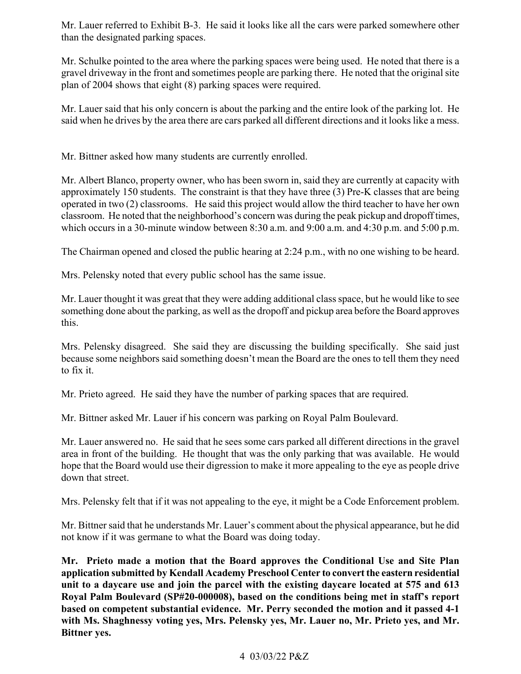Mr. Lauer referred to Exhibit B-3. He said it looks like all the cars were parked somewhere other than the designated parking spaces.

 gravel driveway in the front and sometimes people are parking there. He noted that the original site Mr. Schulke pointed to the area where the parking spaces were being used. He noted that there is a plan of 2004 shows that eight (8) parking spaces were required.

 Mr. Lauer said that his only concern is about the parking and the entire look of the parking lot. He said when he drives by the area there are cars parked all different directions and it looks like a mess.

Mr. Bittner asked how many students are currently enrolled.

 operated in two (2) classrooms. He said this project would allow the third teacher to have her own classroom. He noted that the neighborhood's concern was during the peak pickup and dropoff times, Mr. Albert Blanco, property owner, who has been sworn in, said they are currently at capacity with approximately 150 students. The constraint is that they have three (3) Pre-K classes that are being which occurs in a 30-minute window between 8:30 a.m. and 9:00 a.m. and 4:30 p.m. and 5:00 p.m.

The Chairman opened and closed the public hearing at 2:24 p.m., with no one wishing to be heard.

Mrs. Pelensky noted that every public school has the same issue.

 something done about the parking, as well as the dropoff and pickup area before the Board approves Mr. Lauer thought it was great that they were adding additional class space, but he would like to see this.

 Mrs. Pelensky disagreed. She said they are discussing the building specifically. She said just because some neighbors said something doesn't mean the Board are the ones to tell them they need to fix it.

Mr. Prieto agreed. He said they have the number of parking spaces that are required.

Mr. Bittner asked Mr. Lauer if his concern was parking on Royal Palm Boulevard.

 area in front of the building. He thought that was the only parking that was available. He would Mr. Lauer answered no. He said that he sees some cars parked all different directions in the gravel hope that the Board would use their digression to make it more appealing to the eye as people drive down that street.

Mrs. Pelensky felt that if it was not appealing to the eye, it might be a Code Enforcement problem.

Mr. Bittner said that he understands Mr. Lauer's comment about the physical appearance, but he did not know if it was germane to what the Board was doing today.

 **Mr. Prieto made a motion that the Board approves the Conditional Use and Site Plan application submitted by Kendall Academy Preschool Center to convert the eastern residential unit to a daycare use and join the parcel with the existing daycare located at 575 and 613 Royal Palm Boulevard (SP#20-000008), based on the conditions being met in staff's report based on competent substantial evidence. Mr. Perry seconded the motion and it passed 4-1 with Ms. Shaghnessy voting yes, Mrs. Pelensky yes, Mr. Lauer no, Mr. Prieto yes, and Mr. Bittner yes.**